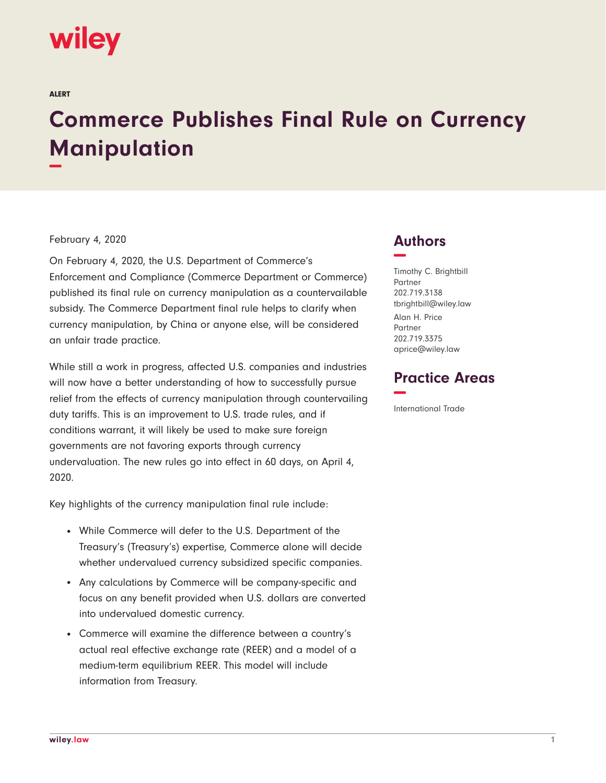# wiley

ALERT

# **Commerce Publishes Final Rule on Currency Manipulation −**

#### February 4, 2020

On February 4, 2020, the U.S. Department of Commerce's Enforcement and Compliance (Commerce Department or Commerce) published its final rule on currency manipulation as a countervailable subsidy. The Commerce Department final rule helps to clarify when currency manipulation, by China or anyone else, will be considered an unfair trade practice.

While still a work in progress, affected U.S. companies and industries will now have a better understanding of how to successfully pursue relief from the effects of currency manipulation through countervailing duty tariffs. This is an improvement to U.S. trade rules, and if conditions warrant, it will likely be used to make sure foreign governments are not favoring exports through currency undervaluation. The new rules go into effect in 60 days, on April 4, 2020.

Key highlights of the currency manipulation final rule include:

- While Commerce will defer to the U.S. Department of the Treasury's (Treasury's) expertise, Commerce alone will decide whether undervalued currency subsidized specific companies.
- Any calculations by Commerce will be company-specific and focus on any benefit provided when U.S. dollars are converted into undervalued domestic currency.
- Commerce will examine the difference between a country's actual real effective exchange rate (REER) and a model of a medium-term equilibrium REER. This model will include information from Treasury.

## **Authors −**

Timothy C. Brightbill Partner 202.719.3138 tbrightbill@wiley.law Alan H. Price Partner 202.719.3375 aprice@wiley.law

### **Practice Areas −**

International Trade